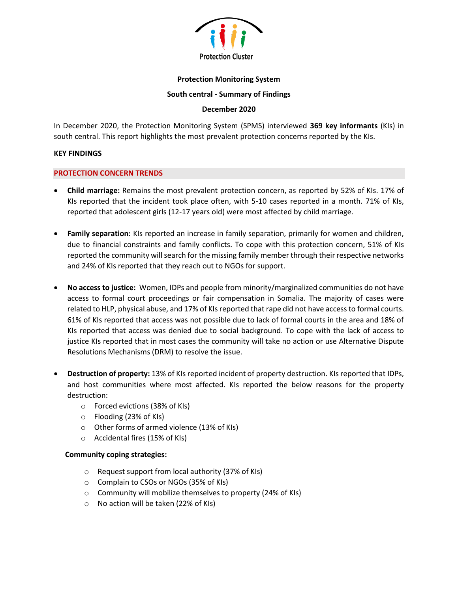

## **Protection Monitoring System**

#### **South central - Summary of Findings**

## **December 2020**

In December 2020, the Protection Monitoring System (SPMS) interviewed **369 key informants** (KIs) in south central. This report highlights the most prevalent protection concerns reported by the KIs.

#### **KEY FINDINGS**

## **PROTECTION CONCERN TRENDS**

- **Child marriage:** Remains the most prevalent protection concern, as reported by 52% of KIs. 17% of KIs reported that the incident took place often, with 5-10 cases reported in a month. 71% of KIs, reported that adolescent girls (12-17 years old) were most affected by child marriage.
- **Family separation:** KIs reported an increase in family separation, primarily for women and children, due to financial constraints and family conflicts. To cope with this protection concern, 51% of KIs reported the community will search for the missing family member through their respective networks and 24% of KIs reported that they reach out to NGOs for support.
- **No access to justice:** Women, IDPs and people from minority/marginalized communities do not have access to formal court proceedings or fair compensation in Somalia. The majority of cases were related to HLP, physical abuse, and 17% of KIs reported that rape did not have access to formal courts. 61% of KIs reported that access was not possible due to lack of formal courts in the area and 18% of KIs reported that access was denied due to social background. To cope with the lack of access to justice KIs reported that in most cases the community will take no action or use Alternative Dispute Resolutions Mechanisms (DRM) to resolve the issue.
- **Destruction of property:** 13% of KIs reported incident of property destruction. KIs reported that IDPs, and host communities where most affected. KIs reported the below reasons for the property destruction:
	- o Forced evictions (38% of KIs)
	- o Flooding (23% of KIs)
	- o Other forms of armed violence (13% of KIs)
	- o Accidental fires (15% of KIs)

# **Community coping strategies:**

- o Request support from local authority (37% of KIs)
- o Complain to CSOs or NGOs (35% of KIs)
- o Community will mobilize themselves to property (24% of KIs)
- o No action will be taken (22% of KIs)